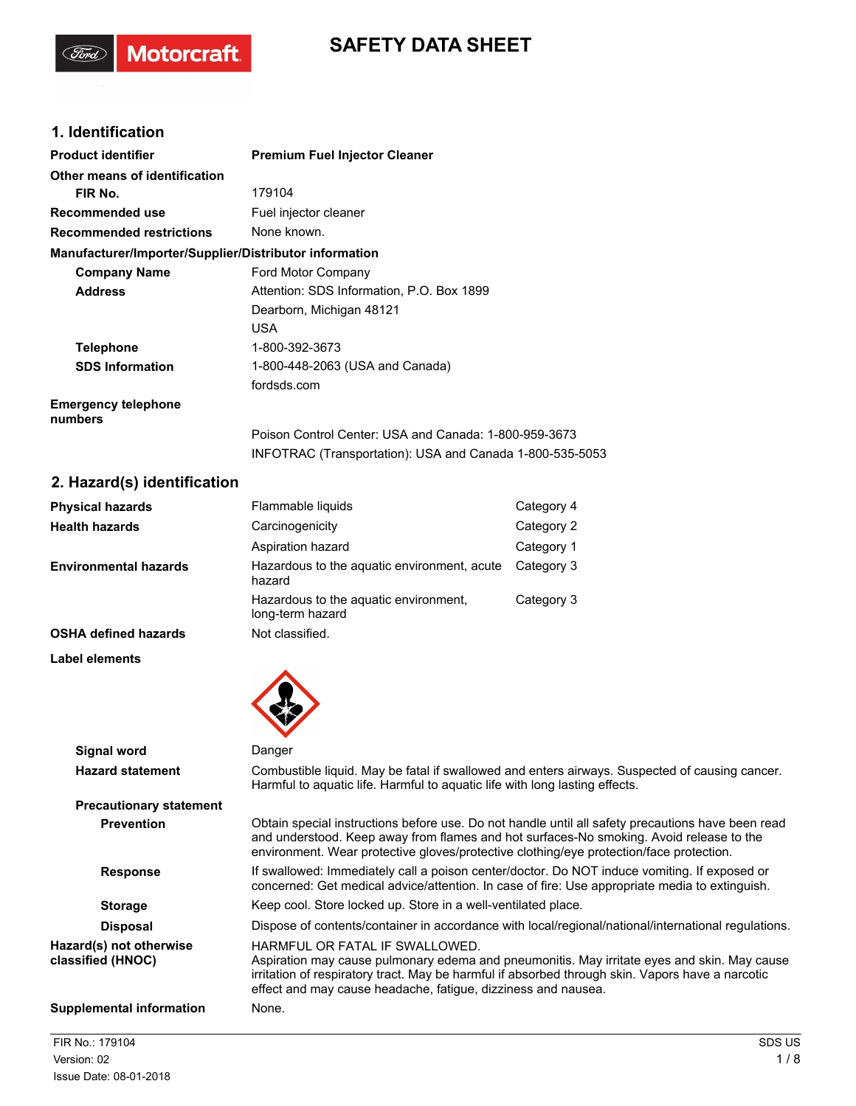# **SAFETY DATA SHEET**

### **1. Identification**

(Ford)

Motorcraft.

| <b>Product identifier</b>                              | <b>Premium Fuel Injector Cleaner</b>                                                                              |
|--------------------------------------------------------|-------------------------------------------------------------------------------------------------------------------|
| Other means of identification                          |                                                                                                                   |
| FIR No.                                                | 179104                                                                                                            |
| <b>Recommended use</b>                                 | Fuel injector cleaner                                                                                             |
| <b>Recommended restrictions</b>                        | None known.                                                                                                       |
| Manufacturer/Importer/Supplier/Distributor information |                                                                                                                   |
| <b>Company Name</b>                                    | Ford Motor Company                                                                                                |
| <b>Address</b>                                         | Attention: SDS Information, P.O. Box 1899                                                                         |
|                                                        | Dearborn, Michigan 48121                                                                                          |
|                                                        | <b>USA</b>                                                                                                        |
| <b>Telephone</b>                                       | 1-800-392-3673                                                                                                    |
| <b>SDS Information</b>                                 | 1-800-448-2063 (USA and Canada)                                                                                   |
|                                                        | fordsds.com                                                                                                       |
| <b>Emergency telephone</b><br>numbers                  |                                                                                                                   |
|                                                        | Poison Control Center: USA and Canada: 1-800-959-3673<br>INFOTRAC (Transportation): USA and Canada 1-800-535-5053 |

## **2. Hazard(s) identification**

| <b>Physical hazards</b>      | Flammable liquids                                         | Category 4 |
|------------------------------|-----------------------------------------------------------|------------|
| <b>Health hazards</b>        | Carcinogenicity                                           | Category 2 |
|                              | Aspiration hazard                                         | Category 1 |
| <b>Environmental hazards</b> | Hazardous to the aquatic environment, acute<br>hazard     | Category 3 |
|                              | Hazardous to the aquatic environment,<br>long-term hazard | Category 3 |
| <b>OSHA defined hazards</b>  | Not classified.                                           |            |

**Label elements**



|                                              | $\mathbf{v}$                                                                                                                                                                                                                                                                                       |
|----------------------------------------------|----------------------------------------------------------------------------------------------------------------------------------------------------------------------------------------------------------------------------------------------------------------------------------------------------|
| Signal word                                  | Danger                                                                                                                                                                                                                                                                                             |
| <b>Hazard statement</b>                      | Combustible liquid. May be fatal if swallowed and enters airways. Suspected of causing cancer.<br>Harmful to aquatic life. Harmful to aquatic life with long lasting effects.                                                                                                                      |
| <b>Precautionary statement</b>               |                                                                                                                                                                                                                                                                                                    |
| <b>Prevention</b>                            | Obtain special instructions before use. Do not handle until all safety precautions have been read<br>and understood. Keep away from flames and hot surfaces-No smoking. Avoid release to the<br>environment. Wear protective gloves/protective clothing/eye protection/face protection.            |
| <b>Response</b>                              | If swallowed: Immediately call a poison center/doctor. Do NOT induce vomiting. If exposed or<br>concerned: Get medical advice/attention. In case of fire: Use appropriate media to extinguish.                                                                                                     |
| <b>Storage</b>                               | Keep cool. Store locked up. Store in a well-ventilated place.                                                                                                                                                                                                                                      |
| <b>Disposal</b>                              | Dispose of contents/container in accordance with local/regional/national/international regulations.                                                                                                                                                                                                |
| Hazard(s) not otherwise<br>classified (HNOC) | HARMFUL OR FATAL IF SWALLOWED.<br>Aspiration may cause pulmonary edema and pneumonitis. May irritate eyes and skin. May cause<br>irritation of respiratory tract. May be harmful if absorbed through skin. Vapors have a narcotic<br>effect and may cause headache, fatigue, dizziness and nausea. |
| <b>Supplemental information</b>              | None.                                                                                                                                                                                                                                                                                              |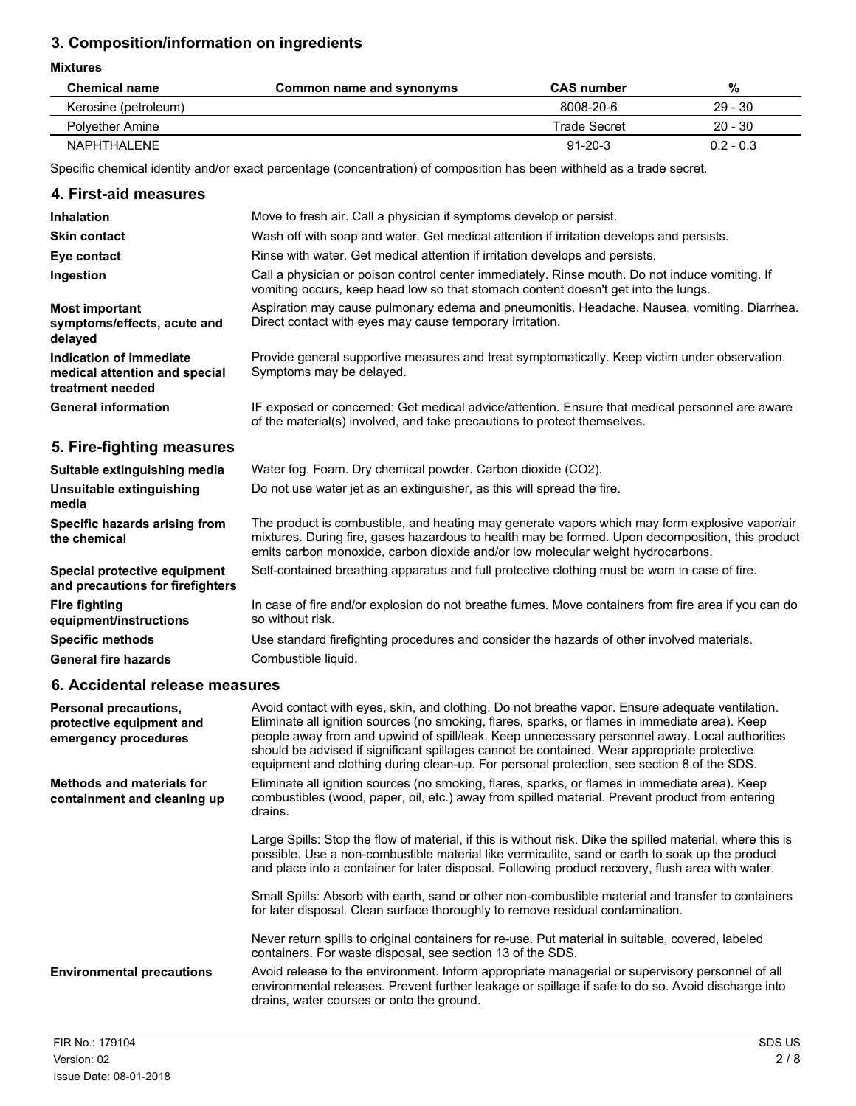### **3. Composition/information on ingredients**

**Mixtures**

| <b>Chemical name</b> | Common name and synonyms | <b>CAS number</b> | %           |
|----------------------|--------------------------|-------------------|-------------|
| Kerosine (petroleum) |                          | 8008-20-6         | $29 - 30$   |
| Polvether Amine      |                          | Trade Secret      | $20 - 30$   |
| NAPHTHAI FNF         |                          | $91 - 20 - 3$     | $0.2 - 0.3$ |

Specific chemical identity and/or exact percentage (concentration) of composition has been withheld as a trade secret.

#### **4. First-aid measures**

| <b>Inhalation</b>                                                            | Move to fresh air. Call a physician if symptoms develop or persist.                                                                                                                                |
|------------------------------------------------------------------------------|----------------------------------------------------------------------------------------------------------------------------------------------------------------------------------------------------|
| <b>Skin contact</b>                                                          | Wash off with soap and water. Get medical attention if irritation develops and persists.                                                                                                           |
| Eye contact                                                                  | Rinse with water. Get medical attention if irritation develops and persists.                                                                                                                       |
| Ingestion                                                                    | Call a physician or poison control center immediately. Rinse mouth. Do not induce vomiting. If<br>vomiting occurs, keep head low so that stomach content doesn't get into the lungs.               |
| <b>Most important</b><br>symptoms/effects, acute and<br>delayed              | Aspiration may cause pulmonary edema and pneumonitis. Headache. Nausea, vomiting. Diarrhea.<br>Direct contact with eyes may cause temporary irritation.                                            |
| Indication of immediate<br>medical attention and special<br>treatment needed | Provide general supportive measures and treat symptomatically. Keep victim under observation.<br>Symptoms may be delayed.                                                                          |
| <b>General information</b>                                                   | IF exposed or concerned: Get medical advice/attention. Ensure that medical personnel are aware<br>of the material(s) involved, and take precautions to protect themselves.                         |
| 5. Fire-fighting measures                                                    |                                                                                                                                                                                                    |
| Suitable extinguishing media                                                 | Water fog. Foam. Dry chemical powder. Carbon dioxide (CO2).                                                                                                                                        |
| Unsuitable extinguishing<br>media                                            | Do not use water jet as an extinguisher, as this will spread the fire.                                                                                                                             |
| Specific hazards arising from<br>the chemical                                | The product is combustible, and heating may generate vapors which may form explosive vapor/air<br>mixtures. During fire, gases hazardous to health may be formed. Upon decomposition, this product |

emits carbon monoxide, carbon dioxide and/or low molecular weight hydrocarbons. **Special protective equipment** Self-contained breathing apparatus and full protective clothing must be worn in case of fire. **and precautions for firefighters** In case of fire and/or explosion do not breathe fumes. Move containers from fire area if you can do so without risk. **Fire fighting equipment/instructions Specific methods** Use standard firefighting procedures and consider the hazards of other involved materials. General fire hazards **Combustible liquid.** 

### **6. Accidental release measures**

| Personal precautions,<br>protective equipment and<br>emergency procedures | Avoid contact with eyes, skin, and clothing. Do not breathe vapor. Ensure adequate ventilation.<br>Eliminate all ignition sources (no smoking, flares, sparks, or flames in immediate area). Keep<br>people away from and upwind of spill/leak. Keep unnecessary personnel away. Local authorities<br>should be advised if significant spillages cannot be contained. Wear appropriate protective<br>equipment and clothing during clean-up. For personal protection, see section 8 of the SDS. |
|---------------------------------------------------------------------------|-------------------------------------------------------------------------------------------------------------------------------------------------------------------------------------------------------------------------------------------------------------------------------------------------------------------------------------------------------------------------------------------------------------------------------------------------------------------------------------------------|
| <b>Methods and materials for</b><br>containment and cleaning up           | Eliminate all ignition sources (no smoking, flares, sparks, or flames in immediate area). Keep<br>combustibles (wood, paper, oil, etc.) away from spilled material. Prevent product from entering<br>drains.                                                                                                                                                                                                                                                                                    |
|                                                                           | Large Spills: Stop the flow of material, if this is without risk. Dike the spilled material, where this is<br>possible. Use a non-combustible material like vermiculite, sand or earth to soak up the product<br>and place into a container for later disposal. Following product recovery, flush area with water.                                                                                                                                                                              |
|                                                                           | Small Spills: Absorb with earth, sand or other non-combustible material and transfer to containers<br>for later disposal. Clean surface thoroughly to remove residual contamination.                                                                                                                                                                                                                                                                                                            |
|                                                                           | Never return spills to original containers for re-use. Put material in suitable, covered, labeled<br>containers. For waste disposal, see section 13 of the SDS.                                                                                                                                                                                                                                                                                                                                 |
| <b>Environmental precautions</b>                                          | Avoid release to the environment. Inform appropriate managerial or supervisory personnel of all<br>environmental releases. Prevent further leakage or spillage if safe to do so. Avoid discharge into<br>drains, water courses or onto the ground.                                                                                                                                                                                                                                              |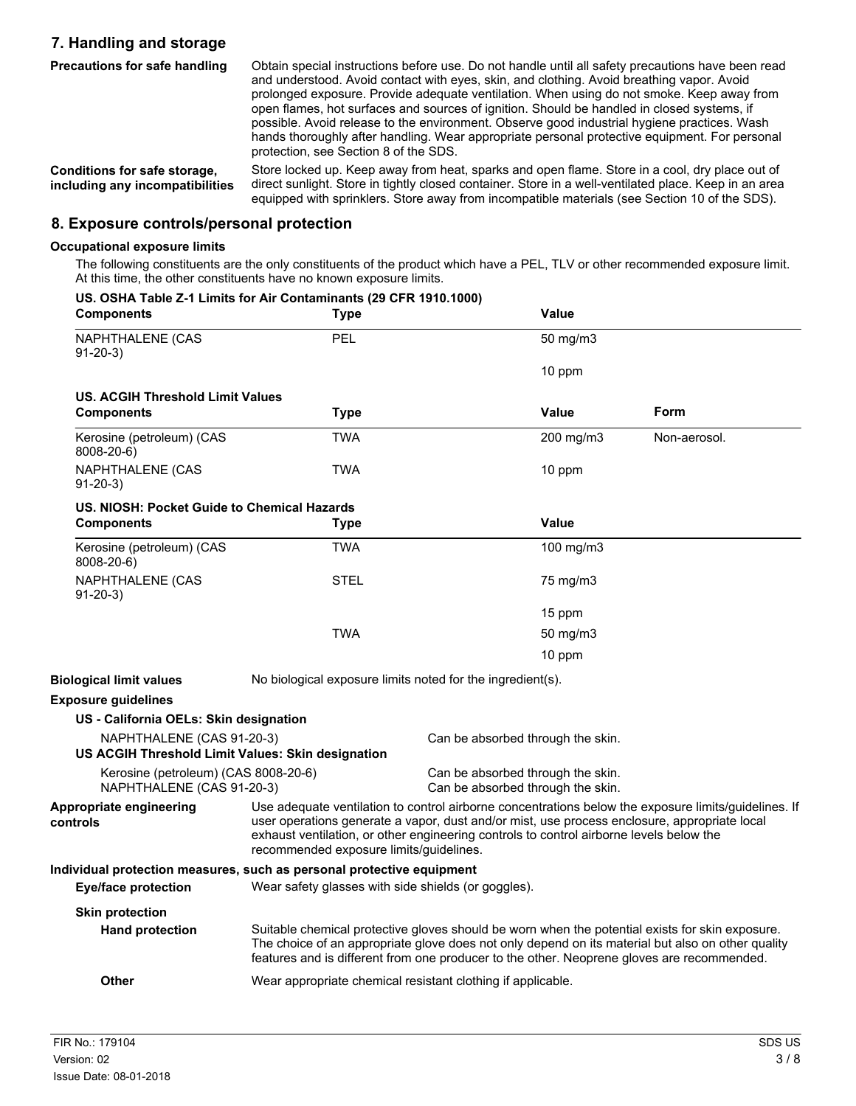### **7. Handling and storage**

| <b>Precautions for safe handling</b>                            | Obtain special instructions before use. Do not handle until all safety precautions have been read<br>and understood. Avoid contact with eyes, skin, and clothing. Avoid breathing vapor. Avoid<br>prolonged exposure. Provide adequate ventilation. When using do not smoke. Keep away from<br>open flames, hot surfaces and sources of ignition. Should be handled in closed systems, if<br>possible. Avoid release to the environment. Observe good industrial hygiene practices. Wash<br>hands thoroughly after handling. Wear appropriate personal protective equipment. For personal<br>protection, see Section 8 of the SDS. |
|-----------------------------------------------------------------|------------------------------------------------------------------------------------------------------------------------------------------------------------------------------------------------------------------------------------------------------------------------------------------------------------------------------------------------------------------------------------------------------------------------------------------------------------------------------------------------------------------------------------------------------------------------------------------------------------------------------------|
| Conditions for safe storage,<br>including any incompatibilities | Store locked up. Keep away from heat, sparks and open flame. Store in a cool, dry place out of<br>direct sunlight. Store in tightly closed container. Store in a well-ventilated place. Keep in an area<br>equipped with sprinklers. Store away from incompatible materials (see Section 10 of the SDS).                                                                                                                                                                                                                                                                                                                           |

### **8. Exposure controls/personal protection**

#### **Occupational exposure limits**

The following constituents are the only constituents of the product which have a PEL, TLV or other recommended exposure limit. At this time, the other constituents have no known exposure limits.

| US. OSHA Table Z-1 Limits for Air Contaminants (29 CFR 1910.1000)<br><b>Components</b> | <b>Type</b>                                                                                                                                                                                                                                                                                                                                |  | <b>Value</b>                                                           |                                                                                                                                                                                                                                                                                                    |
|----------------------------------------------------------------------------------------|--------------------------------------------------------------------------------------------------------------------------------------------------------------------------------------------------------------------------------------------------------------------------------------------------------------------------------------------|--|------------------------------------------------------------------------|----------------------------------------------------------------------------------------------------------------------------------------------------------------------------------------------------------------------------------------------------------------------------------------------------|
| <b>NAPHTHALENE (CAS</b><br>$91 - 20 - 3$                                               | PEL                                                                                                                                                                                                                                                                                                                                        |  | 50 mg/m3                                                               |                                                                                                                                                                                                                                                                                                    |
|                                                                                        |                                                                                                                                                                                                                                                                                                                                            |  | 10 ppm                                                                 |                                                                                                                                                                                                                                                                                                    |
| <b>US. ACGIH Threshold Limit Values</b>                                                |                                                                                                                                                                                                                                                                                                                                            |  |                                                                        |                                                                                                                                                                                                                                                                                                    |
| <b>Components</b>                                                                      | <b>Type</b>                                                                                                                                                                                                                                                                                                                                |  | <b>Value</b>                                                           | <b>Form</b>                                                                                                                                                                                                                                                                                        |
| Kerosine (petroleum) (CAS<br>8008-20-6)                                                | <b>TWA</b>                                                                                                                                                                                                                                                                                                                                 |  | 200 mg/m3                                                              | Non-aerosol.                                                                                                                                                                                                                                                                                       |
| NAPHTHALENE (CAS<br>$91-20-3)$                                                         | <b>TWA</b>                                                                                                                                                                                                                                                                                                                                 |  | 10 ppm                                                                 |                                                                                                                                                                                                                                                                                                    |
| US. NIOSH: Pocket Guide to Chemical Hazards                                            |                                                                                                                                                                                                                                                                                                                                            |  |                                                                        |                                                                                                                                                                                                                                                                                                    |
| <b>Components</b>                                                                      | <b>Type</b>                                                                                                                                                                                                                                                                                                                                |  | Value                                                                  |                                                                                                                                                                                                                                                                                                    |
| Kerosine (petroleum) (CAS<br>8008-20-6)                                                | <b>TWA</b>                                                                                                                                                                                                                                                                                                                                 |  | 100 mg/m3                                                              |                                                                                                                                                                                                                                                                                                    |
| NAPHTHALENE (CAS<br>$91-20-3)$                                                         | <b>STEL</b>                                                                                                                                                                                                                                                                                                                                |  | 75 mg/m3                                                               |                                                                                                                                                                                                                                                                                                    |
|                                                                                        |                                                                                                                                                                                                                                                                                                                                            |  | 15 ppm                                                                 |                                                                                                                                                                                                                                                                                                    |
|                                                                                        | <b>TWA</b>                                                                                                                                                                                                                                                                                                                                 |  | 50 mg/m3                                                               |                                                                                                                                                                                                                                                                                                    |
|                                                                                        |                                                                                                                                                                                                                                                                                                                                            |  | 10 ppm                                                                 |                                                                                                                                                                                                                                                                                                    |
| <b>Biological limit values</b>                                                         | No biological exposure limits noted for the ingredient(s).                                                                                                                                                                                                                                                                                 |  |                                                                        |                                                                                                                                                                                                                                                                                                    |
| <b>Exposure guidelines</b>                                                             |                                                                                                                                                                                                                                                                                                                                            |  |                                                                        |                                                                                                                                                                                                                                                                                                    |
| US - California OELs: Skin designation                                                 |                                                                                                                                                                                                                                                                                                                                            |  |                                                                        |                                                                                                                                                                                                                                                                                                    |
| NAPHTHALENE (CAS 91-20-3)<br>US ACGIH Threshold Limit Values: Skin designation         |                                                                                                                                                                                                                                                                                                                                            |  | Can be absorbed through the skin.                                      |                                                                                                                                                                                                                                                                                                    |
| Kerosine (petroleum) (CAS 8008-20-6)<br>NAPHTHALENE (CAS 91-20-3)                      |                                                                                                                                                                                                                                                                                                                                            |  | Can be absorbed through the skin.<br>Can be absorbed through the skin. |                                                                                                                                                                                                                                                                                                    |
| <b>Appropriate engineering</b><br>controls                                             | Use adequate ventilation to control airborne concentrations below the exposure limits/guidelines. If<br>user operations generate a vapor, dust and/or mist, use process enclosure, appropriate local<br>exhaust ventilation, or other engineering controls to control airborne levels below the<br>recommended exposure limits/quidelines. |  |                                                                        |                                                                                                                                                                                                                                                                                                    |
| Individual protection measures, such as personal protective equipment                  |                                                                                                                                                                                                                                                                                                                                            |  |                                                                        |                                                                                                                                                                                                                                                                                                    |
| <b>Eye/face protection</b>                                                             | Wear safety glasses with side shields (or goggles).                                                                                                                                                                                                                                                                                        |  |                                                                        |                                                                                                                                                                                                                                                                                                    |
| <b>Skin protection</b>                                                                 |                                                                                                                                                                                                                                                                                                                                            |  |                                                                        |                                                                                                                                                                                                                                                                                                    |
| <b>Hand protection</b>                                                                 |                                                                                                                                                                                                                                                                                                                                            |  |                                                                        | Suitable chemical protective gloves should be worn when the potential exists for skin exposure.<br>The choice of an appropriate glove does not only depend on its material but also on other quality<br>features and is different from one producer to the other. Neoprene gloves are recommended. |
| Other                                                                                  | Wear appropriate chemical resistant clothing if applicable.                                                                                                                                                                                                                                                                                |  |                                                                        |                                                                                                                                                                                                                                                                                                    |
|                                                                                        |                                                                                                                                                                                                                                                                                                                                            |  |                                                                        |                                                                                                                                                                                                                                                                                                    |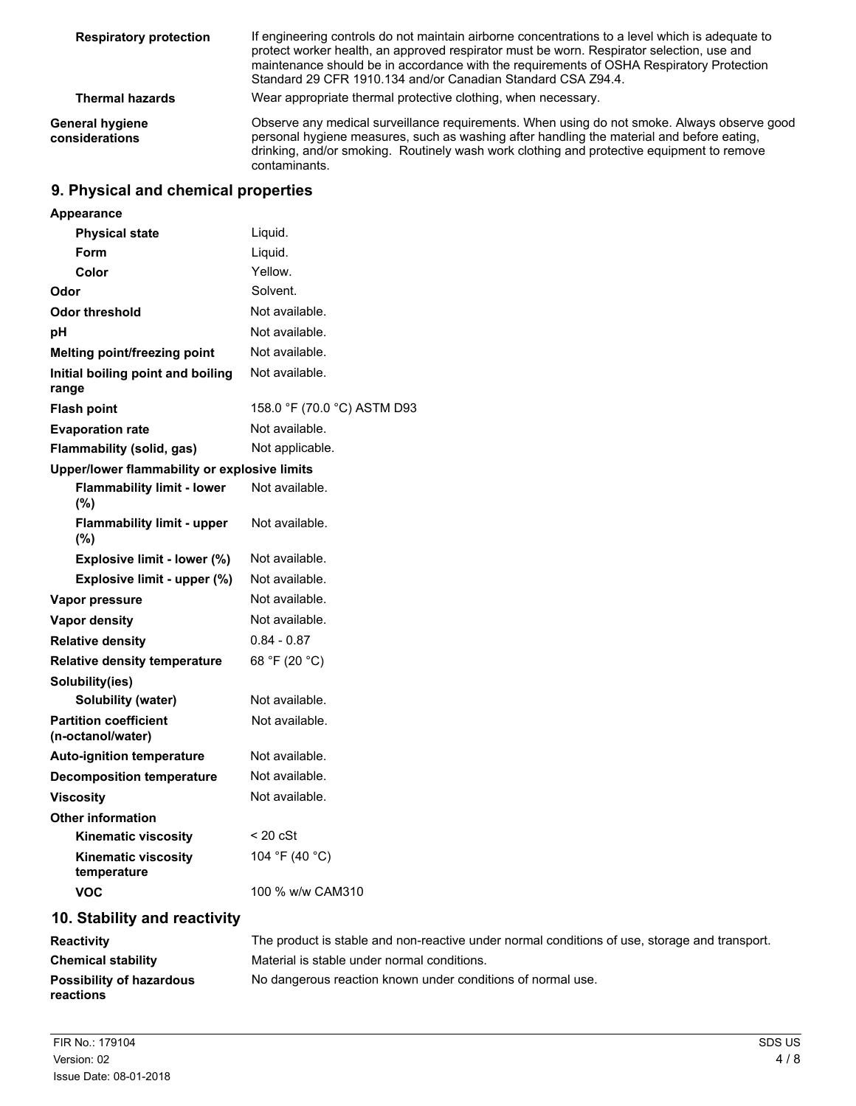| <b>Respiratory protection</b>     | If engineering controls do not maintain airborne concentrations to a level which is adequate to<br>protect worker health, an approved respirator must be worn. Respirator selection, use and<br>maintenance should be in accordance with the requirements of OSHA Respiratory Protection<br>Standard 29 CFR 1910.134 and/or Canadian Standard CSA Z94.4. |  |
|-----------------------------------|----------------------------------------------------------------------------------------------------------------------------------------------------------------------------------------------------------------------------------------------------------------------------------------------------------------------------------------------------------|--|
| <b>Thermal hazards</b>            | Wear appropriate thermal protective clothing, when necessary.                                                                                                                                                                                                                                                                                            |  |
| General hygiene<br>considerations | Observe any medical surveillance requirements. When using do not smoke. Always observe good<br>personal hygiene measures, such as washing after handling the material and before eating,<br>drinking, and/or smoking. Routinely wash work clothing and protective equipment to remove<br>contaminants.                                                   |  |

## **9. Physical and chemical properties**

| Appearance                                        |                             |
|---------------------------------------------------|-----------------------------|
| <b>Physical state</b>                             | Liquid.                     |
| Form                                              | Liquid.                     |
| Color                                             | Yellow.                     |
| Odor                                              | Solvent.                    |
| <b>Odor threshold</b>                             | Not available.              |
| рH                                                | Not available.              |
| <b>Melting point/freezing point</b>               | Not available.              |
| Initial boiling point and boiling<br>range        | Not available.              |
| <b>Flash point</b>                                | 158.0 °F (70.0 °C) ASTM D93 |
| <b>Evaporation rate</b>                           | Not available.              |
| Flammability (solid, gas)                         | Not applicable.             |
| Upper/lower flammability or explosive limits      |                             |
| <b>Flammability limit - lower</b><br>(%)          | Not available.              |
| <b>Flammability limit - upper</b><br>$(\%)$       | Not available.              |
| Explosive limit - lower (%)                       | Not available.              |
| Explosive limit - upper (%)                       | Not available.              |
| Vapor pressure                                    | Not available.              |
| Vapor density                                     | Not available.              |
| <b>Relative density</b>                           | $0.84 - 0.87$               |
| <b>Relative density temperature</b>               | 68 °F (20 °C)               |
| Solubility(ies)                                   |                             |
| <b>Solubility (water)</b>                         | Not available.              |
| <b>Partition coefficient</b><br>(n-octanol/water) | Not available.              |
| <b>Auto-ignition temperature</b>                  | Not available.              |
| <b>Decomposition temperature</b>                  | Not available.              |
| <b>Viscosity</b>                                  | Not available.              |
| <b>Other information</b>                          |                             |
| <b>Kinematic viscosity</b>                        | $<$ 20 cSt                  |
| <b>Kinematic viscosity</b><br>temperature         | 104 °F (40 °C)              |
| VOC                                               | 100 % w/w CAM310            |
| 10. Stability and reactivity                      |                             |

| <b>Reactivity</b>                            | The product is stable and non-reactive under normal conditions of use, storage and transport. |
|----------------------------------------------|-----------------------------------------------------------------------------------------------|
| <b>Chemical stability</b>                    | Material is stable under normal conditions.                                                   |
| <b>Possibility of hazardous</b><br>reactions | No dangerous reaction known under conditions of normal use.                                   |
|                                              |                                                                                               |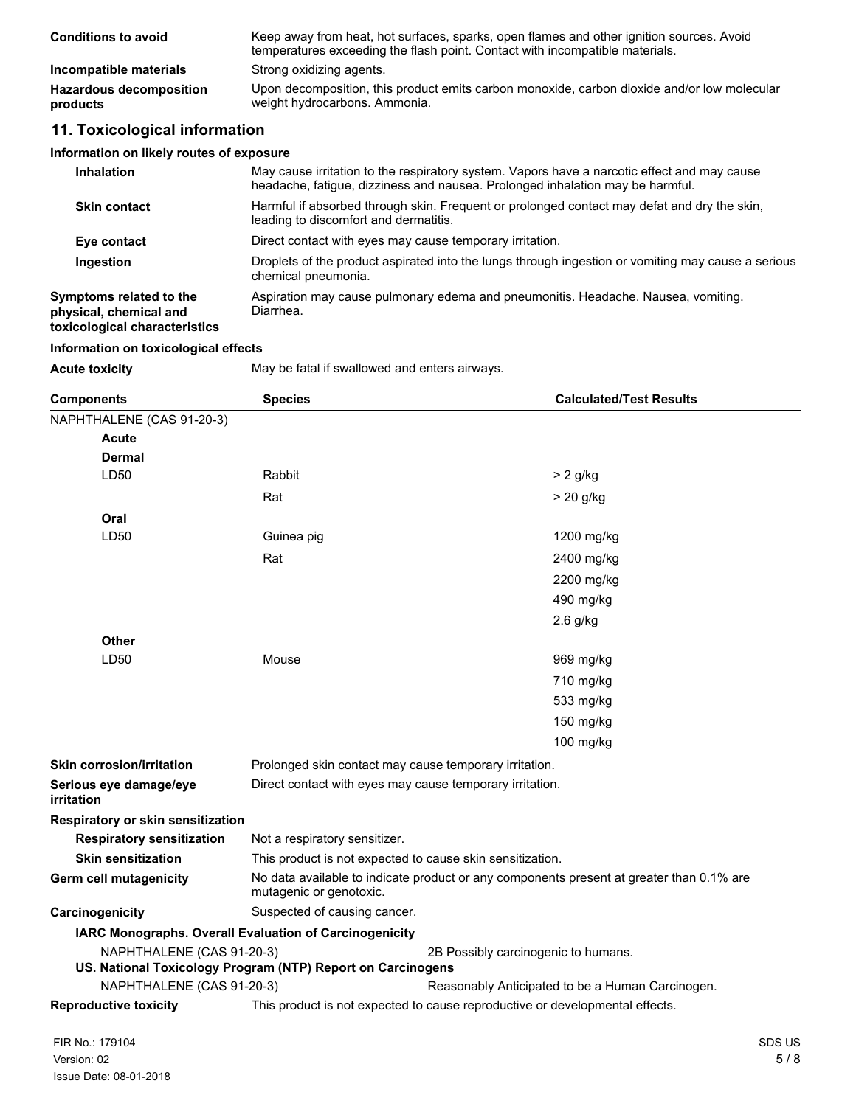| <b>Conditions to avoid</b>                 | Keep away from heat, hot surfaces, sparks, open flames and other ignition sources. Avoid<br>temperatures exceeding the flash point. Contact with incompatible materials. |
|--------------------------------------------|--------------------------------------------------------------------------------------------------------------------------------------------------------------------------|
| Incompatible materials                     | Strong oxidizing agents.                                                                                                                                                 |
| <b>Hazardous decomposition</b><br>products | Upon decomposition, this product emits carbon monoxide, carbon dioxide and/or low molecular<br>weight hydrocarbons. Ammonia.                                             |

### **11. Toxicological information**

#### **Information on likely routes of exposure**

| <b>Inhalation</b>                                                                  | May cause irritation to the respiratory system. Vapors have a narcotic effect and may cause<br>headache, fatigue, dizziness and nausea. Prolonged inhalation may be harmful. |
|------------------------------------------------------------------------------------|------------------------------------------------------------------------------------------------------------------------------------------------------------------------------|
| <b>Skin contact</b>                                                                | Harmful if absorbed through skin. Frequent or prolonged contact may defat and dry the skin,<br>leading to discomfort and dermatitis.                                         |
| Eye contact                                                                        | Direct contact with eyes may cause temporary irritation.                                                                                                                     |
| Ingestion                                                                          | Droplets of the product aspirated into the lungs through ingestion or vomiting may cause a serious<br>chemical pneumonia.                                                    |
| Symptoms related to the<br>physical, chemical and<br>toxicological characteristics | Aspiration may cause pulmonary edema and pneumonitis. Headache. Nausea, vomiting.<br>Diarrhea.                                                                               |

#### **Information on toxicological effects**

| <b>Acute toxicity</b> | May be: |
|-----------------------|---------|
|-----------------------|---------|

fatal if swallowed and enters airways.

| <b>Components</b>                                           | <b>Species</b>                                                                                                      | <b>Calculated/Test Results</b>                                               |  |  |
|-------------------------------------------------------------|---------------------------------------------------------------------------------------------------------------------|------------------------------------------------------------------------------|--|--|
| NAPHTHALENE (CAS 91-20-3)                                   |                                                                                                                     |                                                                              |  |  |
| <b>Acute</b>                                                |                                                                                                                     |                                                                              |  |  |
| <b>Dermal</b>                                               |                                                                                                                     |                                                                              |  |  |
| LD50                                                        | Rabbit                                                                                                              | $> 2$ g/kg                                                                   |  |  |
|                                                             | Rat                                                                                                                 | $> 20$ g/kg                                                                  |  |  |
| Oral                                                        |                                                                                                                     |                                                                              |  |  |
| LD50                                                        | Guinea pig                                                                                                          | 1200 mg/kg                                                                   |  |  |
|                                                             | Rat                                                                                                                 | 2400 mg/kg                                                                   |  |  |
|                                                             |                                                                                                                     | 2200 mg/kg                                                                   |  |  |
|                                                             |                                                                                                                     | 490 mg/kg                                                                    |  |  |
|                                                             |                                                                                                                     | $2.6$ g/kg                                                                   |  |  |
| Other                                                       |                                                                                                                     |                                                                              |  |  |
| LD50                                                        | Mouse                                                                                                               | 969 mg/kg                                                                    |  |  |
|                                                             |                                                                                                                     | 710 mg/kg                                                                    |  |  |
|                                                             |                                                                                                                     | 533 mg/kg                                                                    |  |  |
|                                                             |                                                                                                                     | 150 mg/kg                                                                    |  |  |
|                                                             |                                                                                                                     | 100 mg/kg                                                                    |  |  |
| <b>Skin corrosion/irritation</b>                            |                                                                                                                     | Prolonged skin contact may cause temporary irritation.                       |  |  |
| Serious eye damage/eye<br>irritation                        | Direct contact with eyes may cause temporary irritation.                                                            |                                                                              |  |  |
| Respiratory or skin sensitization                           |                                                                                                                     |                                                                              |  |  |
| <b>Respiratory sensitization</b>                            |                                                                                                                     | Not a respiratory sensitizer.                                                |  |  |
| <b>Skin sensitization</b>                                   | This product is not expected to cause skin sensitization.                                                           |                                                                              |  |  |
| <b>Germ cell mutagenicity</b>                               | No data available to indicate product or any components present at greater than 0.1% are<br>mutagenic or genotoxic. |                                                                              |  |  |
| Carcinogenicity                                             | Suspected of causing cancer.                                                                                        |                                                                              |  |  |
| IARC Monographs. Overall Evaluation of Carcinogenicity      |                                                                                                                     |                                                                              |  |  |
| NAPHTHALENE (CAS 91-20-3)                                   |                                                                                                                     | 2B Possibly carcinogenic to humans.                                          |  |  |
| US. National Toxicology Program (NTP) Report on Carcinogens |                                                                                                                     |                                                                              |  |  |
| NAPHTHALENE (CAS 91-20-3)                                   |                                                                                                                     | Reasonably Anticipated to be a Human Carcinogen.                             |  |  |
| <b>Reproductive toxicity</b>                                |                                                                                                                     | This product is not expected to cause reproductive or developmental effects. |  |  |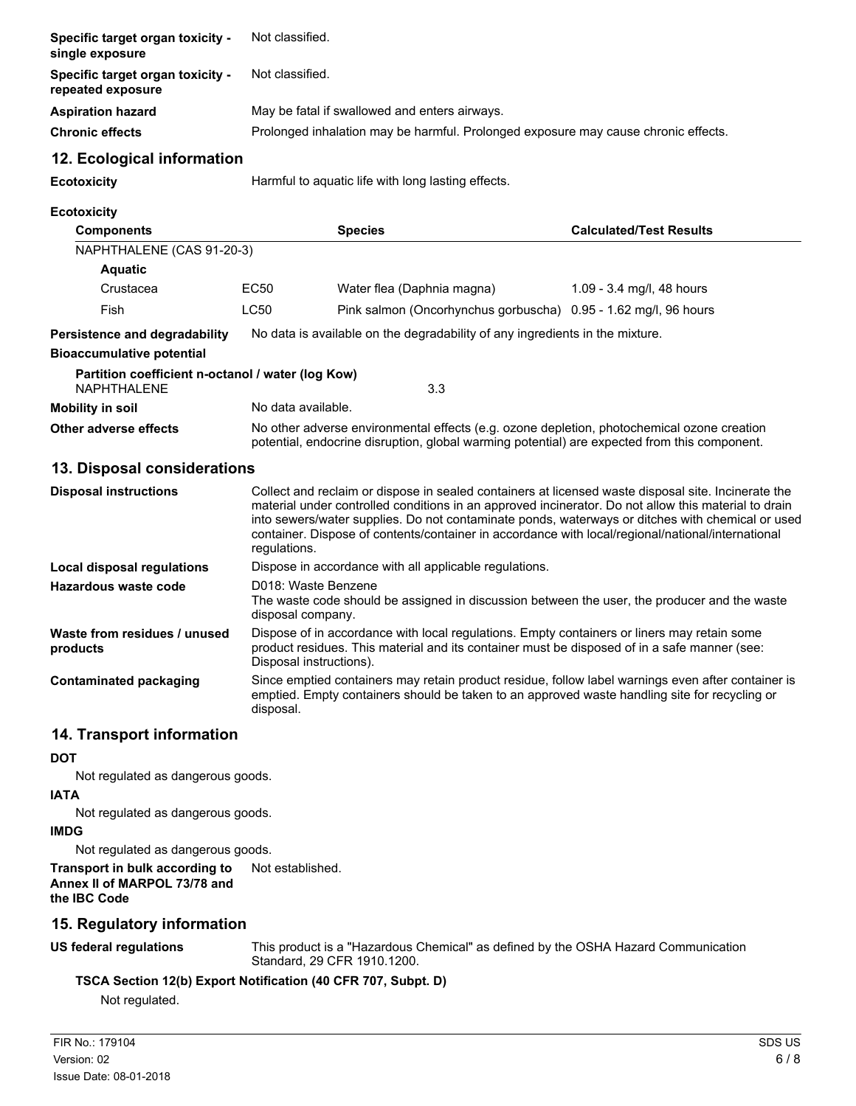| Specific target organ toxicity -<br>single exposure                     | Not classified.                                                                                                                                                                                                                                                                                                                                                                                                                      |                                                                                                                                                                                                     |                                |  |  |
|-------------------------------------------------------------------------|--------------------------------------------------------------------------------------------------------------------------------------------------------------------------------------------------------------------------------------------------------------------------------------------------------------------------------------------------------------------------------------------------------------------------------------|-----------------------------------------------------------------------------------------------------------------------------------------------------------------------------------------------------|--------------------------------|--|--|
| Specific target organ toxicity -<br>repeated exposure                   | Not classified.                                                                                                                                                                                                                                                                                                                                                                                                                      |                                                                                                                                                                                                     |                                |  |  |
| <b>Aspiration hazard</b>                                                | May be fatal if swallowed and enters airways.                                                                                                                                                                                                                                                                                                                                                                                        |                                                                                                                                                                                                     |                                |  |  |
| <b>Chronic effects</b>                                                  | Prolonged inhalation may be harmful. Prolonged exposure may cause chronic effects.                                                                                                                                                                                                                                                                                                                                                   |                                                                                                                                                                                                     |                                |  |  |
| 12. Ecological information                                              |                                                                                                                                                                                                                                                                                                                                                                                                                                      |                                                                                                                                                                                                     |                                |  |  |
| <b>Ecotoxicity</b>                                                      | Harmful to aquatic life with long lasting effects.                                                                                                                                                                                                                                                                                                                                                                                   |                                                                                                                                                                                                     |                                |  |  |
| <b>Ecotoxicity</b>                                                      |                                                                                                                                                                                                                                                                                                                                                                                                                                      |                                                                                                                                                                                                     |                                |  |  |
| <b>Components</b>                                                       |                                                                                                                                                                                                                                                                                                                                                                                                                                      | <b>Species</b>                                                                                                                                                                                      | <b>Calculated/Test Results</b> |  |  |
| NAPHTHALENE (CAS 91-20-3)                                               |                                                                                                                                                                                                                                                                                                                                                                                                                                      |                                                                                                                                                                                                     |                                |  |  |
| <b>Aquatic</b>                                                          |                                                                                                                                                                                                                                                                                                                                                                                                                                      |                                                                                                                                                                                                     |                                |  |  |
| Crustacea                                                               | EC50                                                                                                                                                                                                                                                                                                                                                                                                                                 | Water flea (Daphnia magna)                                                                                                                                                                          | 1.09 - 3.4 mg/l, 48 hours      |  |  |
| Fish                                                                    | <b>LC50</b>                                                                                                                                                                                                                                                                                                                                                                                                                          | Pink salmon (Oncorhynchus gorbuscha) 0.95 - 1.62 mg/l, 96 hours                                                                                                                                     |                                |  |  |
| Persistence and degradability                                           |                                                                                                                                                                                                                                                                                                                                                                                                                                      | No data is available on the degradability of any ingredients in the mixture.                                                                                                                        |                                |  |  |
| <b>Bioaccumulative potential</b>                                        |                                                                                                                                                                                                                                                                                                                                                                                                                                      |                                                                                                                                                                                                     |                                |  |  |
| Partition coefficient n-octanol / water (log Kow)<br><b>NAPHTHALENE</b> |                                                                                                                                                                                                                                                                                                                                                                                                                                      | 3.3                                                                                                                                                                                                 |                                |  |  |
| <b>Mobility in soil</b>                                                 |                                                                                                                                                                                                                                                                                                                                                                                                                                      | No data available.                                                                                                                                                                                  |                                |  |  |
| Other adverse effects                                                   | No other adverse environmental effects (e.g. ozone depletion, photochemical ozone creation<br>potential, endocrine disruption, global warming potential) are expected from this component.                                                                                                                                                                                                                                           |                                                                                                                                                                                                     |                                |  |  |
| 13. Disposal considerations                                             |                                                                                                                                                                                                                                                                                                                                                                                                                                      |                                                                                                                                                                                                     |                                |  |  |
| <b>Disposal instructions</b>                                            | Collect and reclaim or dispose in sealed containers at licensed waste disposal site. Incinerate the<br>material under controlled conditions in an approved incinerator. Do not allow this material to drain<br>into sewers/water supplies. Do not contaminate ponds, waterways or ditches with chemical or used<br>container. Dispose of contents/container in accordance with local/regional/national/international<br>regulations. |                                                                                                                                                                                                     |                                |  |  |
| <b>Local disposal regulations</b>                                       |                                                                                                                                                                                                                                                                                                                                                                                                                                      | Dispose in accordance with all applicable regulations.                                                                                                                                              |                                |  |  |
| <b>Hazardous waste code</b>                                             | D018: Waste Benzene<br>The waste code should be assigned in discussion between the user, the producer and the waste<br>disposal company.                                                                                                                                                                                                                                                                                             |                                                                                                                                                                                                     |                                |  |  |
| Waste from residues / unused<br>products                                | Dispose of in accordance with local regulations. Empty containers or liners may retain some<br>product residues. This material and its container must be disposed of in a safe manner (see:<br>Disposal instructions).                                                                                                                                                                                                               |                                                                                                                                                                                                     |                                |  |  |
| <b>Contaminated packaging</b>                                           | disposal.                                                                                                                                                                                                                                                                                                                                                                                                                            | Since emptied containers may retain product residue, follow label warnings even after container is<br>emptied. Empty containers should be taken to an approved waste handling site for recycling or |                                |  |  |
|                                                                         |                                                                                                                                                                                                                                                                                                                                                                                                                                      |                                                                                                                                                                                                     |                                |  |  |

#### **14. Transport information**

#### **DOT**

Not regulated as dangerous goods.

#### **IATA**

Not regulated as dangerous goods.

#### **IMDG**

Not regulated as dangerous goods.

## **Transport in bulk according to** Not established.

#### **Annex II of MARPOL 73/78 and the IBC Code**

### **15. Regulatory information**

### **US federal regulations**

This product is a "Hazardous Chemical" as defined by the OSHA Hazard Communication Standard, 29 CFR 1910.1200.

### **TSCA Section 12(b) Export Notification (40 CFR 707, Subpt. D)**

Not regulated.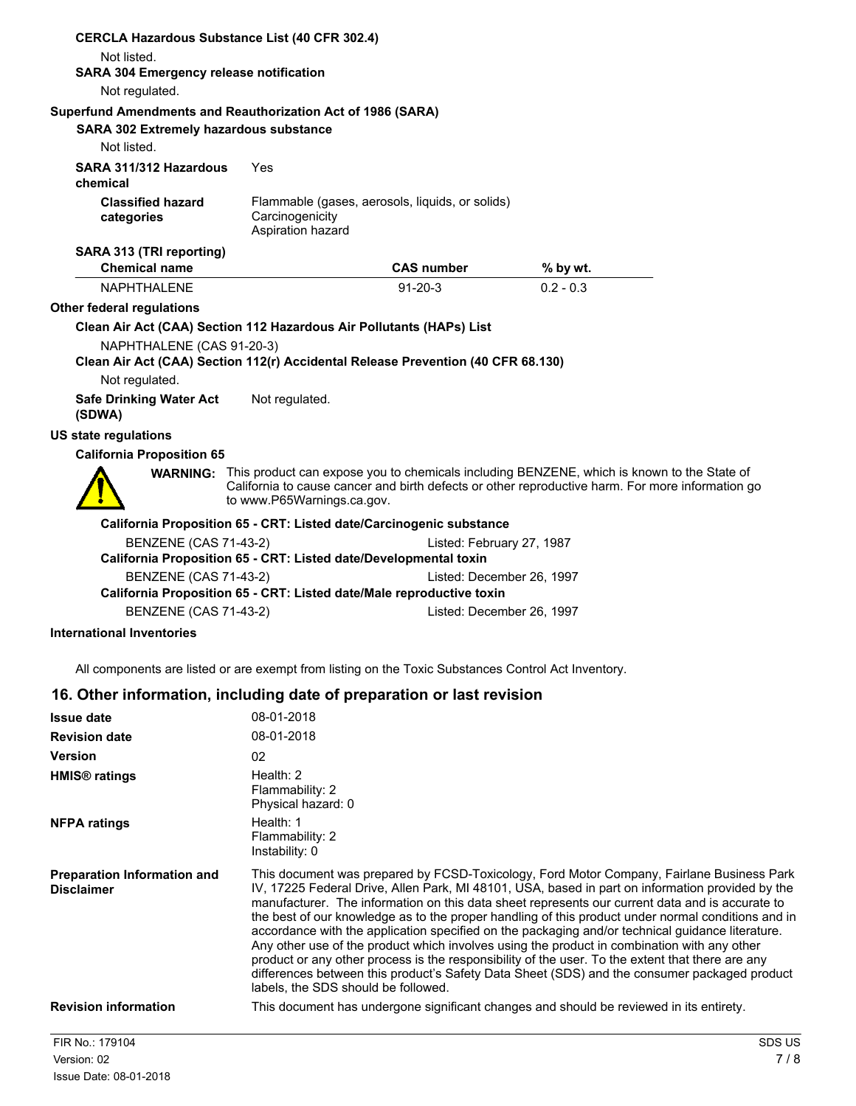|                                                                                                                             | <b>CERCLA Hazardous Substance List (40 CFR 302.4)</b>                            |                                                 |                                                                                                                                                                                                                |
|-----------------------------------------------------------------------------------------------------------------------------|----------------------------------------------------------------------------------|-------------------------------------------------|----------------------------------------------------------------------------------------------------------------------------------------------------------------------------------------------------------------|
| Not listed.<br><b>SARA 304 Emergency release notification</b>                                                               |                                                                                  |                                                 |                                                                                                                                                                                                                |
| Not regulated.                                                                                                              |                                                                                  |                                                 |                                                                                                                                                                                                                |
|                                                                                                                             |                                                                                  |                                                 |                                                                                                                                                                                                                |
| Superfund Amendments and Reauthorization Act of 1986 (SARA)<br><b>SARA 302 Extremely hazardous substance</b><br>Not listed. |                                                                                  |                                                 |                                                                                                                                                                                                                |
| SARA 311/312 Hazardous<br>chemical                                                                                          | Yes                                                                              |                                                 |                                                                                                                                                                                                                |
| <b>Classified hazard</b><br>categories                                                                                      | Carcinogenicity<br>Aspiration hazard                                             | Flammable (gases, aerosols, liquids, or solids) |                                                                                                                                                                                                                |
| SARA 313 (TRI reporting)                                                                                                    |                                                                                  |                                                 |                                                                                                                                                                                                                |
| <b>Chemical name</b>                                                                                                        |                                                                                  | <b>CAS number</b>                               | % by wt.                                                                                                                                                                                                       |
| <b>NAPHTHAI FNF</b>                                                                                                         |                                                                                  | $91 - 20 - 3$                                   | $0.2 - 0.3$                                                                                                                                                                                                    |
| Other federal regulations                                                                                                   |                                                                                  |                                                 |                                                                                                                                                                                                                |
|                                                                                                                             | Clean Air Act (CAA) Section 112 Hazardous Air Pollutants (HAPs) List             |                                                 |                                                                                                                                                                                                                |
| NAPHTHALENE (CAS 91-20-3)                                                                                                   |                                                                                  |                                                 |                                                                                                                                                                                                                |
|                                                                                                                             | Clean Air Act (CAA) Section 112(r) Accidental Release Prevention (40 CFR 68.130) |                                                 |                                                                                                                                                                                                                |
| Not regulated.                                                                                                              |                                                                                  |                                                 |                                                                                                                                                                                                                |
| <b>Safe Drinking Water Act</b><br>(SDWA)                                                                                    | Not regulated.                                                                   |                                                 |                                                                                                                                                                                                                |
| <b>US state regulations</b>                                                                                                 |                                                                                  |                                                 |                                                                                                                                                                                                                |
| <b>California Proposition 65</b>                                                                                            |                                                                                  |                                                 |                                                                                                                                                                                                                |
|                                                                                                                             | to www.P65Warnings.ca.gov.                                                       |                                                 | <b>WARNING:</b> This product can expose you to chemicals including BENZENE, which is known to the State of<br>California to cause cancer and birth defects or other reproductive harm. For more information go |
|                                                                                                                             | California Proposition 65 - CRT: Listed date/Carcinogenic substance              |                                                 |                                                                                                                                                                                                                |
| <b>BENZENE (CAS 71-43-2)</b>                                                                                                |                                                                                  | Listed: February 27, 1987                       |                                                                                                                                                                                                                |
|                                                                                                                             | California Proposition 65 - CRT: Listed date/Developmental toxin                 |                                                 |                                                                                                                                                                                                                |
| <b>BENZENE (CAS 71-43-2)</b>                                                                                                |                                                                                  | Listed: December 26, 1997                       |                                                                                                                                                                                                                |
|                                                                                                                             | California Proposition 65 - CRT: Listed date/Male reproductive toxin             |                                                 |                                                                                                                                                                                                                |
| <b>BENZENE (CAS 71-43-2)</b>                                                                                                |                                                                                  | Listed: December 26, 1997                       |                                                                                                                                                                                                                |
| <b>International Inventories</b>                                                                                            |                                                                                  |                                                 |                                                                                                                                                                                                                |

All components are listed or are exempt from listing on the Toxic Substances Control Act Inventory.

### **16. Other information, including date of preparation or last revision**

| <b>Issue date</b>                                       | 08-01-2018                                                                                                                                                                                                                                                                                                                                                                                                                                                                                                                                                                                                                                                                                                                                                                                                                                           |
|---------------------------------------------------------|------------------------------------------------------------------------------------------------------------------------------------------------------------------------------------------------------------------------------------------------------------------------------------------------------------------------------------------------------------------------------------------------------------------------------------------------------------------------------------------------------------------------------------------------------------------------------------------------------------------------------------------------------------------------------------------------------------------------------------------------------------------------------------------------------------------------------------------------------|
| <b>Revision date</b>                                    | 08-01-2018                                                                                                                                                                                                                                                                                                                                                                                                                                                                                                                                                                                                                                                                                                                                                                                                                                           |
| <b>Version</b>                                          | 02                                                                                                                                                                                                                                                                                                                                                                                                                                                                                                                                                                                                                                                                                                                                                                                                                                                   |
| <b>HMIS<sup>®</sup></b> ratings                         | Health: $2$<br>Flammability: 2<br>Physical hazard: 0                                                                                                                                                                                                                                                                                                                                                                                                                                                                                                                                                                                                                                                                                                                                                                                                 |
| <b>NFPA ratings</b>                                     | Health: 1<br>Flammability: 2<br>Instability: 0                                                                                                                                                                                                                                                                                                                                                                                                                                                                                                                                                                                                                                                                                                                                                                                                       |
| <b>Preparation Information and</b><br><b>Disclaimer</b> | This document was prepared by FCSD-Toxicology, Ford Motor Company, Fairlane Business Park<br>IV, 17225 Federal Drive, Allen Park, MI 48101, USA, based in part on information provided by the<br>manufacturer. The information on this data sheet represents our current data and is accurate to<br>the best of our knowledge as to the proper handling of this product under normal conditions and in<br>accordance with the application specified on the packaging and/or technical guidance literature.<br>Any other use of the product which involves using the product in combination with any other<br>product or any other process is the responsibility of the user. To the extent that there are any<br>differences between this product's Safety Data Sheet (SDS) and the consumer packaged product<br>labels, the SDS should be followed. |
| <b>Revision information</b>                             | This document has undergone significant changes and should be reviewed in its entirety.                                                                                                                                                                                                                                                                                                                                                                                                                                                                                                                                                                                                                                                                                                                                                              |
| FIR No.: 179104                                         | SDS US                                                                                                                                                                                                                                                                                                                                                                                                                                                                                                                                                                                                                                                                                                                                                                                                                                               |